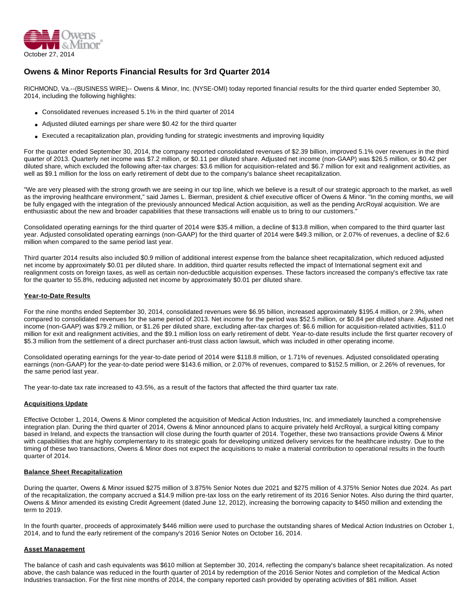

### **Owens & Minor Reports Financial Results for 3rd Quarter 2014**

RICHMOND, Va.--(BUSINESS WIRE)-- Owens & Minor, Inc. (NYSE-OMI) today reported financial results for the third quarter ended September 30, 2014, including the following highlights:

- Consolidated revenues increased 5.1% in the third quarter of 2014
- Adjusted diluted earnings per share were \$0.42 for the third quarter
- Executed a recapitalization plan, providing funding for strategic investments and improving liquidity

For the quarter ended September 30, 2014, the company reported consolidated revenues of \$2.39 billion, improved 5.1% over revenues in the third quarter of 2013. Quarterly net income was \$7.2 million, or \$0.11 per diluted share. Adjusted net income (non-GAAP) was \$26.5 million, or \$0.42 per diluted share, which excluded the following after-tax charges: \$3.6 million for acquisition-related and \$6.7 million for exit and realignment activities, as well as \$9.1 million for the loss on early retirement of debt due to the company's balance sheet recapitalization.

"We are very pleased with the strong growth we are seeing in our top line, which we believe is a result of our strategic approach to the market, as well as the improving healthcare environment," said James L. Bierman, president & chief executive officer of Owens & Minor. "In the coming months, we will be fully engaged with the integration of the previously announced Medical Action acquisition, as well as the pending ArcRoyal acquisition. We are enthusiastic about the new and broader capabilities that these transactions will enable us to bring to our customers."

Consolidated operating earnings for the third quarter of 2014 were \$35.4 million, a decline of \$13.8 million, when compared to the third quarter last year. Adjusted consolidated operating earnings (non-GAAP) for the third quarter of 2014 were \$49.3 million, or 2.07% of revenues, a decline of \$2.6 million when compared to the same period last year.

Third quarter 2014 results also included \$0.9 million of additional interest expense from the balance sheet recapitalization, which reduced adjusted net income by approximately \$0.01 per diluted share. In addition, third quarter results reflected the impact of International segment exit and realignment costs on foreign taxes, as well as certain non-deductible acquisition expenses. These factors increased the company's effective tax rate for the quarter to 55.8%, reducing adjusted net income by approximately \$0.01 per diluted share.

#### **Year-to-Date Results**

For the nine months ended September 30, 2014, consolidated revenues were \$6.95 billion, increased approximately \$195.4 million, or 2.9%, when compared to consolidated revenues for the same period of 2013. Net income for the period was \$52.5 million, or \$0.84 per diluted share. Adjusted net income (non-GAAP) was \$79.2 million, or \$1.26 per diluted share, excluding after-tax charges of: \$6.6 million for acquisition-related activities, \$11.0 million for exit and realignment activities, and the \$9.1 million loss on early retirement of debt. Year-to-date results include the first quarter recovery of \$5.3 million from the settlement of a direct purchaser anti-trust class action lawsuit, which was included in other operating income.

Consolidated operating earnings for the year-to-date period of 2014 were \$118.8 million, or 1.71% of revenues. Adjusted consolidated operating earnings (non-GAAP) for the year-to-date period were \$143.6 million, or 2.07% of revenues, compared to \$152.5 million, or 2.26% of revenues, for the same period last year.

The year-to-date tax rate increased to 43.5%, as a result of the factors that affected the third quarter tax rate.

#### **Acquisitions Update**

Effective October 1, 2014, Owens & Minor completed the acquisition of Medical Action Industries, Inc. and immediately launched a comprehensive integration plan. During the third quarter of 2014, Owens & Minor announced plans to acquire privately held ArcRoyal, a surgical kitting company based in Ireland, and expects the transaction will close during the fourth quarter of 2014. Together, these two transactions provide Owens & Minor with capabilities that are highly complementary to its strategic goals for developing unitized delivery services for the healthcare industry. Due to the timing of these two transactions, Owens & Minor does not expect the acquisitions to make a material contribution to operational results in the fourth quarter of 2014.

#### **Balance Sheet Recapitalization**

During the quarter, Owens & Minor issued \$275 million of 3.875% Senior Notes due 2021 and \$275 million of 4.375% Senior Notes due 2024. As part of the recapitalization, the company accrued a \$14.9 million pre-tax loss on the early retirement of its 2016 Senior Notes. Also during the third quarter, Owens & Minor amended its existing Credit Agreement (dated June 12, 2012), increasing the borrowing capacity to \$450 million and extending the term to 2019.

In the fourth quarter, proceeds of approximately \$446 million were used to purchase the outstanding shares of Medical Action Industries on October 1, 2014, and to fund the early retirement of the company's 2016 Senior Notes on October 16, 2014.

#### **Asset Management**

The balance of cash and cash equivalents was \$610 million at September 30, 2014, reflecting the company's balance sheet recapitalization. As noted above, the cash balance was reduced in the fourth quarter of 2014 by redemption of the 2016 Senior Notes and completion of the Medical Action Industries transaction. For the first nine months of 2014, the company reported cash provided by operating activities of \$81 million. Asset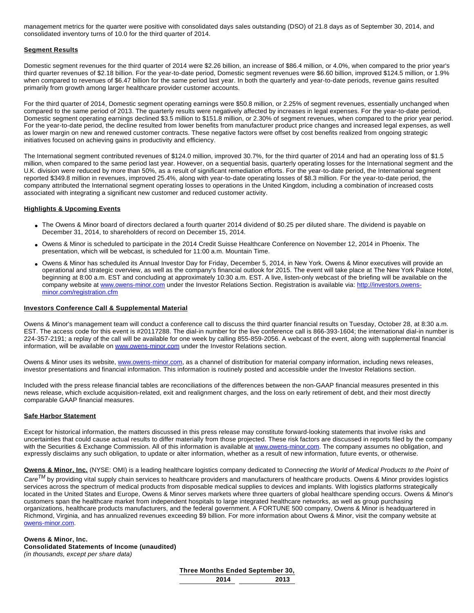management metrics for the quarter were positive with consolidated days sales outstanding (DSO) of 21.8 days as of September 30, 2014, and consolidated inventory turns of 10.0 for the third quarter of 2014.

#### **Segment Results**

Domestic segment revenues for the third quarter of 2014 were \$2.26 billion, an increase of \$86.4 million, or 4.0%, when compared to the prior year's third quarter revenues of \$2.18 billion. For the year-to-date period, Domestic segment revenues were \$6.60 billion, improved \$124.5 million, or 1.9% when compared to revenues of \$6.47 billion for the same period last year. In both the quarterly and year-to-date periods, revenue gains resulted primarily from growth among larger healthcare provider customer accounts.

For the third quarter of 2014, Domestic segment operating earnings were \$50.8 million, or 2.25% of segment revenues, essentially unchanged when compared to the same period of 2013. The quarterly results were negatively affected by increases in legal expenses. For the year-to-date period, Domestic segment operating earnings declined \$3.5 million to \$151.8 million, or 2.30% of segment revenues, when compared to the prior year period. For the year-to-date period, the decline resulted from lower benefits from manufacturer product price changes and increased legal expenses, as well as lower margin on new and renewed customer contracts. These negative factors were offset by cost benefits realized from ongoing strategic initiatives focused on achieving gains in productivity and efficiency.

The International segment contributed revenues of \$124.0 million, improved 30.7%, for the third quarter of 2014 and had an operating loss of \$1.5 million, when compared to the same period last year. However, on a sequential basis, quarterly operating losses for the International segment and the U.K. division were reduced by more than 50%, as a result of significant remediation efforts. For the year-to-date period, the International segment reported \$349.8 million in revenues, improved 25.4%, along with year-to-date operating losses of \$8.3 million. For the year-to-date period, the company attributed the International segment operating losses to operations in the United Kingdom, including a combination of increased costs associated with integrating a significant new customer and reduced customer activity.

#### **Highlights & Upcoming Events**

- The Owens & Minor board of directors declared a fourth quarter 2014 dividend of \$0.25 per diluted share. The dividend is payable on December 31, 2014, to shareholders of record on December 15, 2014.
- Owens & Minor is scheduled to participate in the 2014 Credit Suisse Healthcare Conference on November 12, 2014 in Phoenix. The presentation, which will be webcast, is scheduled for 11:00 a.m. Mountain Time.
- Owens & Minor has scheduled its Annual Investor Day for Friday, December 5, 2014, in New York. Owens & Minor executives will provide an operational and strategic overview, as well as the company's financial outlook for 2015. The event will take place at The New York Palace Hotel, beginning at 8:00 a.m. EST and concluding at approximately 10:30 a.m. EST. A live, listen-only webcast of the briefing will be available on the company website at [www.owens-minor.com](http://cts.businesswire.com/ct/CT?id=smartlink&url=http%3A%2F%2Fwww.owens-minor.com&esheet=50970422&newsitemid=20141027006516&lan=en-US&anchor=www.owens-minor.com&index=1&md5=9b18caaa1025d88393770ebedbe162dc) under the Investor Relations Section. Registration is available via: [http://investors.owens](http://cts.businesswire.com/ct/CT?id=smartlink&url=http%3A%2F%2Finvestors.owens-minor.com%2Fregistration.cfm&esheet=50970422&newsitemid=20141027006516&lan=en-US&anchor=http%3A%2F%2Finvestors.owens-minor.com%2Fregistration.cfm&index=2&md5=612252d1a50d327f53b56f397811bf12)[minor.com/registration.cfm](http://cts.businesswire.com/ct/CT?id=smartlink&url=http%3A%2F%2Finvestors.owens-minor.com%2Fregistration.cfm&esheet=50970422&newsitemid=20141027006516&lan=en-US&anchor=http%3A%2F%2Finvestors.owens-minor.com%2Fregistration.cfm&index=2&md5=612252d1a50d327f53b56f397811bf12)

#### **Investors Conference Call & Supplemental Material**

Owens & Minor's management team will conduct a conference call to discuss the third quarter financial results on Tuesday, October 28, at 8:30 a.m. EST. The access code for this event is #20117288. The dial-in number for the live conference call is 866-393-1604; the international dial-in number is 224-357-2191; a replay of the call will be available for one week by calling 855-859-2056. A webcast of the event, along with supplemental financial information, will be available on [www.owens-minor.com](http://cts.businesswire.com/ct/CT?id=smartlink&url=http%3A%2F%2Fwww.owens-minor.com&esheet=50970422&newsitemid=20141027006516&lan=en-US&anchor=www.owens-minor.com&index=3&md5=01e80fc8d77f5b34916206f41ab7a7e9) under the Investor Relations section.

Owens & Minor uses its website, [www.owens-minor.com,](http://cts.businesswire.com/ct/CT?id=smartlink&url=http%3A%2F%2Fwww.owens-minor.com&esheet=50970422&newsitemid=20141027006516&lan=en-US&anchor=www.owens-minor.com&index=4&md5=bf80823ed81b0fa0b1a652b9742bdf12) as a channel of distribution for material company information, including news releases, investor presentations and financial information. This information is routinely posted and accessible under the Investor Relations section.

Included with the press release financial tables are reconciliations of the differences between the non-GAAP financial measures presented in this news release, which exclude acquisition-related, exit and realignment charges, and the loss on early retirement of debt, and their most directly comparable GAAP financial measures.

#### **Safe Harbor Statement**

Except for historical information, the matters discussed in this press release may constitute forward-looking statements that involve risks and uncertainties that could cause actual results to differ materially from those projected. These risk factors are discussed in reports filed by the company with the Securities & Exchange Commission. All of this information is available at [www.owens-minor.com](http://cts.businesswire.com/ct/CT?id=smartlink&url=http%3A%2F%2Fwww.owens-minor.com&esheet=50970422&newsitemid=20141027006516&lan=en-US&anchor=www.owens-minor.com&index=5&md5=a8ee107922088e3ce57e89cfe7fd1a1a). The company assumes no obligation, and expressly disclaims any such obligation, to update or alter information, whether as a result of new information, future events, or otherwise.

**Owens & Minor, Inc.** (NYSE: OMI) is a leading healthcare logistics company dedicated to Connecting the World of Medical Products to the Point of

 $\textit{Care}^{\textit{TM}}$  by providing vital supply chain services to healthcare providers and manufacturers of healthcare products. Owens & Minor provides logistics services across the spectrum of medical products from disposable medical supplies to devices and implants. With logistics platforms strategically located in the United States and Europe, Owens & Minor serves markets where three quarters of global healthcare spending occurs. Owens & Minor's customers span the healthcare market from independent hospitals to large integrated healthcare networks, as well as group purchasing organizations, healthcare products manufacturers, and the federal government. A FORTUNE 500 company, Owens & Minor is headquartered in Richmond, Virginia, and has annualized revenues exceeding \$9 billion. For more information about Owens & Minor, visit the company website at [owens-minor.com.](http://cts.businesswire.com/ct/CT?id=smartlink&url=http%3A%2F%2Fwww.owens-minor.com&esheet=50970422&newsitemid=20141027006516&lan=en-US&anchor=owens-minor.com&index=6&md5=adc203322fd5f69598a9d32ab3540350)

#### **Owens & Minor, Inc.**

#### **Consolidated Statements of Income (unaudited)** (in thousands, except per share data)

| Three Months Ended September 30, |      |
|----------------------------------|------|
| 2014                             | 2013 |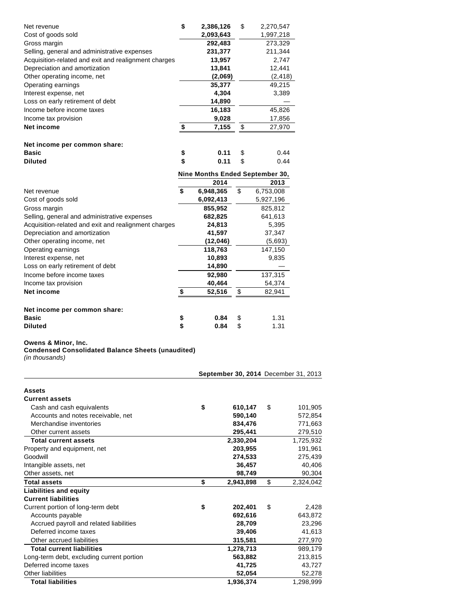| Net revenue                                          | \$<br>2,386,126                 | \$<br>2,270,547 |
|------------------------------------------------------|---------------------------------|-----------------|
| Cost of goods sold                                   | 2,093,643                       | 1,997,218       |
| Gross margin                                         | 292,483                         | 273,329         |
| Selling, general and administrative expenses         | 231,377                         | 211,344         |
| Acquisition-related and exit and realignment charges | 13,957                          | 2,747           |
| Depreciation and amortization                        | 13,841                          | 12,441          |
| Other operating income, net                          | (2,069)                         | (2, 418)        |
| Operating earnings                                   | 35,377                          | 49,215          |
| Interest expense, net                                | 4,304                           | 3,389           |
| Loss on early retirement of debt                     | 14,890                          |                 |
| Income before income taxes                           | 16,183                          | 45,826          |
| Income tax provision                                 | 9,028                           | 17,856          |
| <b>Net income</b>                                    | \$<br>7,155                     | \$<br>27,970    |
|                                                      |                                 |                 |
| Net income per common share:                         |                                 |                 |
| <b>Basic</b>                                         | \$<br>0.11                      | \$<br>0.44      |
| <b>Diluted</b>                                       | \$<br>0.11                      | \$<br>0.44      |
|                                                      | Nine Months Ended September 30, |                 |
|                                                      | 2014                            | 2013            |
| Net revenue                                          | \$<br>6,948,365                 | \$<br>6,753,008 |
| Cost of goods sold                                   | 6,092,413                       | 5,927,196       |
| Gross margin                                         | 855,952                         | 825,812         |
| Selling, general and administrative expenses         | 682,825                         | 641,613         |
| Acquisition-related and exit and realignment charges | 24,813                          | 5,395           |
| Depreciation and amortization                        | 41,597                          | 37,347          |
| Other operating income, net                          | (12,046)                        | (5,693)         |
| Operating earnings                                   | 118,763                         | 147,150         |
| Interest expense, net                                | 10,893                          | 9,835           |
| Loss on early retirement of debt                     | 14,890                          |                 |
| Income before income taxes                           | 92,980                          | 137,315         |
| Income tax provision                                 | 40,464                          | 54,374          |
| Net income                                           | \$<br>52,516                    | \$<br>82,941    |
|                                                      |                                 |                 |
|                                                      |                                 |                 |
| Net income per common share:<br><b>Basic</b>         | \$<br>0.84                      | \$<br>1.31      |

# **Basic being the contract of the Second Street Second Second Second Second Second Second Second Second Second Second Second Second Second Second Second Second Second Second Second Second Second Second Second Second Secon**

#### **Owens & Minor, Inc.**

**Condensed Consolidated Balance Sheets (unaudited)**

(in thousands)

|                                           | September 30, 2014 December 31, 2013 |                 |
|-------------------------------------------|--------------------------------------|-----------------|
| Assets                                    |                                      |                 |
| <b>Current assets</b>                     |                                      |                 |
| Cash and cash equivalents                 | \$<br>610,147                        | \$<br>101,905   |
| Accounts and notes receivable, net        | 590,140                              | 572.854         |
| Merchandise inventories                   | 834.476                              | 771,663         |
| Other current assets                      | 295,441                              | 279,510         |
| <b>Total current assets</b>               | 2,330,204                            | 1,725,932       |
| Property and equipment, net               | 203,955                              | 191,961         |
| Goodwill                                  | 274,533                              | 275,439         |
| Intangible assets, net                    | 36,457                               | 40,406          |
| Other assets, net                         | 98,749                               | 90,304          |
| <b>Total assets</b>                       | \$<br>2,943,898                      | \$<br>2,324,042 |
| <b>Liabilities and equity</b>             |                                      |                 |
| <b>Current liabilities</b>                |                                      |                 |
| Current portion of long-term debt         | \$<br>202,401                        | \$<br>2,428     |
| Accounts payable                          | 692,616                              | 643,872         |
| Accrued payroll and related liabilities   | 28,709                               | 23,296          |
| Deferred income taxes                     | 39,406                               | 41,613          |
| Other accrued liabilities                 | 315,581                              | 277,970         |
| <b>Total current liabilities</b>          | 1,278,713                            | 989.179         |
| Long-term debt, excluding current portion | 563.882                              | 213,815         |
| Deferred income taxes                     | 41,725                               | 43,727          |
| <b>Other liabilities</b>                  | 52,054                               | 52,278          |
| <b>Total liabilities</b>                  | 1.936.374                            | 1.298.999       |

**0.84**  $$$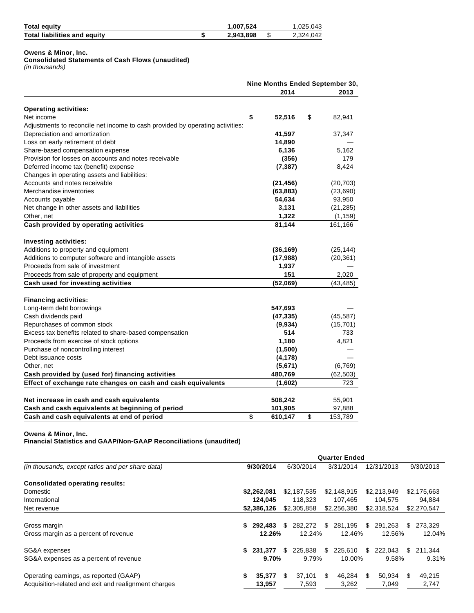| <b>Total equity</b>                 | 1,007,524 | 0.025,043 |
|-------------------------------------|-----------|-----------|
| <b>Total liabilities and equity</b> | 2,943,898 | 2,324,042 |

**Owens & Minor, Inc.**

## **Consolidated Statements of Cash Flows (unaudited)**

(in thousands)

| 2014<br><b>Operating activities:</b><br>\$<br>Net income<br>\$<br>52,516<br>Adjustments to reconcile net income to cash provided by operating activities:<br>Depreciation and amortization<br>41,597<br>Loss on early retirement of debt<br>14,890<br>Share-based compensation expense<br>6,136<br>Provision for losses on accounts and notes receivable<br>(356)<br>(7, 387)<br>Deferred income tax (benefit) expense<br>Changes in operating assets and liabilities:<br>Accounts and notes receivable<br>(21, 456)<br>Merchandise inventories<br>(63, 883)<br>Accounts payable<br>54,634<br>Net change in other assets and liabilities<br>3,131<br>1,322<br>Other, net<br>Cash provided by operating activities<br>81,144<br><b>Investing activities:</b><br>Additions to property and equipment<br>(36, 169)<br>Additions to computer software and intangible assets<br>(17, 988)<br>Proceeds from sale of investment<br>1,937<br>151<br>Proceeds from sale of property and equipment<br>Cash used for investing activities<br>(52,069)<br><b>Financing activities:</b><br>Long-term debt borrowings<br>547,693<br>Cash dividends paid<br>(47, 335)<br>Repurchases of common stock<br>(9,934)<br>Excess tax benefits related to share-based compensation<br>514<br>Proceeds from exercise of stock options<br>1,180<br>Purchase of noncontrolling interest<br>(1,500)<br>Debt issuance costs<br>(4, 178)<br>Other, net<br>(5,671)<br>Cash provided by (used for) financing activities<br>480,769<br>Effect of exchange rate changes on cash and cash equivalents<br>(1,602)<br>Net increase in cash and cash equivalents<br>508,242 | Nine Months Ended September 30, |
|----------------------------------------------------------------------------------------------------------------------------------------------------------------------------------------------------------------------------------------------------------------------------------------------------------------------------------------------------------------------------------------------------------------------------------------------------------------------------------------------------------------------------------------------------------------------------------------------------------------------------------------------------------------------------------------------------------------------------------------------------------------------------------------------------------------------------------------------------------------------------------------------------------------------------------------------------------------------------------------------------------------------------------------------------------------------------------------------------------------------------------------------------------------------------------------------------------------------------------------------------------------------------------------------------------------------------------------------------------------------------------------------------------------------------------------------------------------------------------------------------------------------------------------------------------------------------------------------------------------------------------------|---------------------------------|
|                                                                                                                                                                                                                                                                                                                                                                                                                                                                                                                                                                                                                                                                                                                                                                                                                                                                                                                                                                                                                                                                                                                                                                                                                                                                                                                                                                                                                                                                                                                                                                                                                                        | 2013                            |
|                                                                                                                                                                                                                                                                                                                                                                                                                                                                                                                                                                                                                                                                                                                                                                                                                                                                                                                                                                                                                                                                                                                                                                                                                                                                                                                                                                                                                                                                                                                                                                                                                                        |                                 |
|                                                                                                                                                                                                                                                                                                                                                                                                                                                                                                                                                                                                                                                                                                                                                                                                                                                                                                                                                                                                                                                                                                                                                                                                                                                                                                                                                                                                                                                                                                                                                                                                                                        | 82,941                          |
|                                                                                                                                                                                                                                                                                                                                                                                                                                                                                                                                                                                                                                                                                                                                                                                                                                                                                                                                                                                                                                                                                                                                                                                                                                                                                                                                                                                                                                                                                                                                                                                                                                        |                                 |
|                                                                                                                                                                                                                                                                                                                                                                                                                                                                                                                                                                                                                                                                                                                                                                                                                                                                                                                                                                                                                                                                                                                                                                                                                                                                                                                                                                                                                                                                                                                                                                                                                                        | 37,347                          |
|                                                                                                                                                                                                                                                                                                                                                                                                                                                                                                                                                                                                                                                                                                                                                                                                                                                                                                                                                                                                                                                                                                                                                                                                                                                                                                                                                                                                                                                                                                                                                                                                                                        |                                 |
|                                                                                                                                                                                                                                                                                                                                                                                                                                                                                                                                                                                                                                                                                                                                                                                                                                                                                                                                                                                                                                                                                                                                                                                                                                                                                                                                                                                                                                                                                                                                                                                                                                        | 5,162                           |
|                                                                                                                                                                                                                                                                                                                                                                                                                                                                                                                                                                                                                                                                                                                                                                                                                                                                                                                                                                                                                                                                                                                                                                                                                                                                                                                                                                                                                                                                                                                                                                                                                                        | 179                             |
|                                                                                                                                                                                                                                                                                                                                                                                                                                                                                                                                                                                                                                                                                                                                                                                                                                                                                                                                                                                                                                                                                                                                                                                                                                                                                                                                                                                                                                                                                                                                                                                                                                        | 8,424                           |
|                                                                                                                                                                                                                                                                                                                                                                                                                                                                                                                                                                                                                                                                                                                                                                                                                                                                                                                                                                                                                                                                                                                                                                                                                                                                                                                                                                                                                                                                                                                                                                                                                                        |                                 |
|                                                                                                                                                                                                                                                                                                                                                                                                                                                                                                                                                                                                                                                                                                                                                                                                                                                                                                                                                                                                                                                                                                                                                                                                                                                                                                                                                                                                                                                                                                                                                                                                                                        | (20, 703)                       |
|                                                                                                                                                                                                                                                                                                                                                                                                                                                                                                                                                                                                                                                                                                                                                                                                                                                                                                                                                                                                                                                                                                                                                                                                                                                                                                                                                                                                                                                                                                                                                                                                                                        | (23,690)                        |
|                                                                                                                                                                                                                                                                                                                                                                                                                                                                                                                                                                                                                                                                                                                                                                                                                                                                                                                                                                                                                                                                                                                                                                                                                                                                                                                                                                                                                                                                                                                                                                                                                                        | 93,950                          |
|                                                                                                                                                                                                                                                                                                                                                                                                                                                                                                                                                                                                                                                                                                                                                                                                                                                                                                                                                                                                                                                                                                                                                                                                                                                                                                                                                                                                                                                                                                                                                                                                                                        | (21, 285)                       |
|                                                                                                                                                                                                                                                                                                                                                                                                                                                                                                                                                                                                                                                                                                                                                                                                                                                                                                                                                                                                                                                                                                                                                                                                                                                                                                                                                                                                                                                                                                                                                                                                                                        | (1, 159)                        |
|                                                                                                                                                                                                                                                                                                                                                                                                                                                                                                                                                                                                                                                                                                                                                                                                                                                                                                                                                                                                                                                                                                                                                                                                                                                                                                                                                                                                                                                                                                                                                                                                                                        | 161,166                         |
|                                                                                                                                                                                                                                                                                                                                                                                                                                                                                                                                                                                                                                                                                                                                                                                                                                                                                                                                                                                                                                                                                                                                                                                                                                                                                                                                                                                                                                                                                                                                                                                                                                        |                                 |
|                                                                                                                                                                                                                                                                                                                                                                                                                                                                                                                                                                                                                                                                                                                                                                                                                                                                                                                                                                                                                                                                                                                                                                                                                                                                                                                                                                                                                                                                                                                                                                                                                                        |                                 |
|                                                                                                                                                                                                                                                                                                                                                                                                                                                                                                                                                                                                                                                                                                                                                                                                                                                                                                                                                                                                                                                                                                                                                                                                                                                                                                                                                                                                                                                                                                                                                                                                                                        | (25, 144)                       |
|                                                                                                                                                                                                                                                                                                                                                                                                                                                                                                                                                                                                                                                                                                                                                                                                                                                                                                                                                                                                                                                                                                                                                                                                                                                                                                                                                                                                                                                                                                                                                                                                                                        | (20, 361)                       |
|                                                                                                                                                                                                                                                                                                                                                                                                                                                                                                                                                                                                                                                                                                                                                                                                                                                                                                                                                                                                                                                                                                                                                                                                                                                                                                                                                                                                                                                                                                                                                                                                                                        |                                 |
|                                                                                                                                                                                                                                                                                                                                                                                                                                                                                                                                                                                                                                                                                                                                                                                                                                                                                                                                                                                                                                                                                                                                                                                                                                                                                                                                                                                                                                                                                                                                                                                                                                        | 2,020                           |
|                                                                                                                                                                                                                                                                                                                                                                                                                                                                                                                                                                                                                                                                                                                                                                                                                                                                                                                                                                                                                                                                                                                                                                                                                                                                                                                                                                                                                                                                                                                                                                                                                                        | (43, 485)                       |
|                                                                                                                                                                                                                                                                                                                                                                                                                                                                                                                                                                                                                                                                                                                                                                                                                                                                                                                                                                                                                                                                                                                                                                                                                                                                                                                                                                                                                                                                                                                                                                                                                                        |                                 |
|                                                                                                                                                                                                                                                                                                                                                                                                                                                                                                                                                                                                                                                                                                                                                                                                                                                                                                                                                                                                                                                                                                                                                                                                                                                                                                                                                                                                                                                                                                                                                                                                                                        |                                 |
|                                                                                                                                                                                                                                                                                                                                                                                                                                                                                                                                                                                                                                                                                                                                                                                                                                                                                                                                                                                                                                                                                                                                                                                                                                                                                                                                                                                                                                                                                                                                                                                                                                        | (45, 587)                       |
|                                                                                                                                                                                                                                                                                                                                                                                                                                                                                                                                                                                                                                                                                                                                                                                                                                                                                                                                                                                                                                                                                                                                                                                                                                                                                                                                                                                                                                                                                                                                                                                                                                        | (15, 701)                       |
|                                                                                                                                                                                                                                                                                                                                                                                                                                                                                                                                                                                                                                                                                                                                                                                                                                                                                                                                                                                                                                                                                                                                                                                                                                                                                                                                                                                                                                                                                                                                                                                                                                        | 733                             |
|                                                                                                                                                                                                                                                                                                                                                                                                                                                                                                                                                                                                                                                                                                                                                                                                                                                                                                                                                                                                                                                                                                                                                                                                                                                                                                                                                                                                                                                                                                                                                                                                                                        | 4,821                           |
|                                                                                                                                                                                                                                                                                                                                                                                                                                                                                                                                                                                                                                                                                                                                                                                                                                                                                                                                                                                                                                                                                                                                                                                                                                                                                                                                                                                                                                                                                                                                                                                                                                        |                                 |
|                                                                                                                                                                                                                                                                                                                                                                                                                                                                                                                                                                                                                                                                                                                                                                                                                                                                                                                                                                                                                                                                                                                                                                                                                                                                                                                                                                                                                                                                                                                                                                                                                                        |                                 |
|                                                                                                                                                                                                                                                                                                                                                                                                                                                                                                                                                                                                                                                                                                                                                                                                                                                                                                                                                                                                                                                                                                                                                                                                                                                                                                                                                                                                                                                                                                                                                                                                                                        |                                 |
|                                                                                                                                                                                                                                                                                                                                                                                                                                                                                                                                                                                                                                                                                                                                                                                                                                                                                                                                                                                                                                                                                                                                                                                                                                                                                                                                                                                                                                                                                                                                                                                                                                        | (6, 769)                        |
|                                                                                                                                                                                                                                                                                                                                                                                                                                                                                                                                                                                                                                                                                                                                                                                                                                                                                                                                                                                                                                                                                                                                                                                                                                                                                                                                                                                                                                                                                                                                                                                                                                        | (62, 503)                       |
|                                                                                                                                                                                                                                                                                                                                                                                                                                                                                                                                                                                                                                                                                                                                                                                                                                                                                                                                                                                                                                                                                                                                                                                                                                                                                                                                                                                                                                                                                                                                                                                                                                        | 723                             |
|                                                                                                                                                                                                                                                                                                                                                                                                                                                                                                                                                                                                                                                                                                                                                                                                                                                                                                                                                                                                                                                                                                                                                                                                                                                                                                                                                                                                                                                                                                                                                                                                                                        | 55,901                          |
| Cash and cash equivalents at beginning of period<br>101,905                                                                                                                                                                                                                                                                                                                                                                                                                                                                                                                                                                                                                                                                                                                                                                                                                                                                                                                                                                                                                                                                                                                                                                                                                                                                                                                                                                                                                                                                                                                                                                            | 97,888                          |
| Cash and cash equivalents at end of period<br>\$<br>\$<br>610,147                                                                                                                                                                                                                                                                                                                                                                                                                                                                                                                                                                                                                                                                                                                                                                                                                                                                                                                                                                                                                                                                                                                                                                                                                                                                                                                                                                                                                                                                                                                                                                      | 153,789                         |

**Owens & Minor, Inc. Financial Statistics and GAAP/Non-GAAP Reconciliations (unaudited)**

|                                                      | <b>Quarter Ended</b> |             |     |             |        |             |                  |             |       |             |  |       |
|------------------------------------------------------|----------------------|-------------|-----|-------------|--------|-------------|------------------|-------------|-------|-------------|--|-------|
| (in thousands, except ratios and per share data)     |                      | 9/30/2014   |     | 6/30/2014   |        | 3/31/2014   |                  | 12/31/2013  |       | 9/30/2013   |  |       |
| <b>Consolidated operating results:</b>               |                      |             |     |             |        |             |                  |             |       |             |  |       |
| Domestic                                             |                      | \$2,262,081 |     | \$2,187,535 |        | \$2,148,915 |                  | \$2,213,949 |       | \$2,175,663 |  |       |
| International                                        |                      | 124,045     |     | 118,323     |        | 107.465     |                  | 104,575     |       | 94,884      |  |       |
| Net revenue                                          |                      | \$2,386,126 |     | \$2,305,858 |        | \$2,256,380 |                  | \$2.318.524 |       | \$2,270,547 |  |       |
| Gross margin                                         | S.                   | 292.483     | \$. | 282,272     | \$     | 281,195     | \$.              | 291.263     | \$.   | 273,329     |  |       |
| Gross margin as a percent of revenue                 |                      | 12.26%      |     |             | 12.24% |             | 12.46%<br>12.56% |             |       | 12.04%      |  |       |
| SG&A expenses                                        | \$                   | 231.377     | \$. | 225,838     | \$     | 225,610     | \$.              | 222.043     | \$.   | 211.344     |  |       |
| SG&A expenses as a percent of revenue                |                      | 9.70%       |     |             |        |             | 9.79%<br>10.00%  |             | 9.58% |             |  | 9.31% |
| Operating earnings, as reported (GAAP)               | S                    | 35,377      | \$  | 37.101      | \$     | 46.284      | S                | 50.934      | \$.   | 49,215      |  |       |
| Acquisition-related and exit and realignment charges |                      | 13,957      |     | 7,593       |        | 3,262       |                  | 7,049       |       | 2,747       |  |       |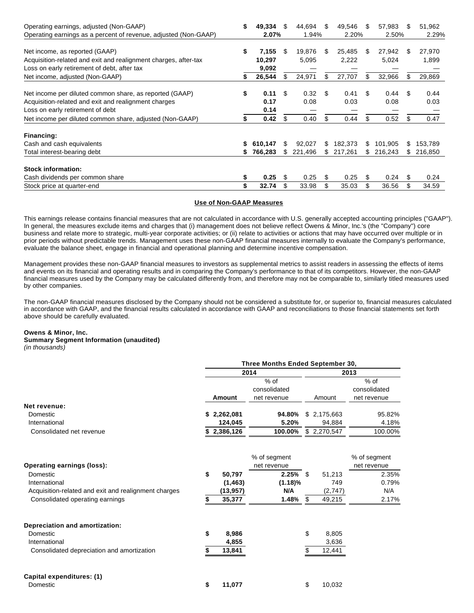| Operating earnings, adjusted (Non-GAAP)                         | \$ | 49,334  | \$  | 44.694  | \$. | 49,546  | \$. | 57,983  | S   | 51,962  |
|-----------------------------------------------------------------|----|---------|-----|---------|-----|---------|-----|---------|-----|---------|
| Operating earnings as a percent of revenue, adjusted (Non-GAAP) |    | 2.07%   |     | 1.94%   |     | 2.20%   |     | 2.50%   |     | 2.29%   |
| Net income, as reported (GAAP)                                  | \$ | 7,155   | \$  | 19,876  | S   | 25,485  | \$. | 27,942  | \$. | 27,970  |
| Acquisition-related and exit and realignment charges, after-tax |    | 10,297  |     | 5,095   |     | 2,222   |     | 5,024   |     | 1,899   |
| Loss on early retirement of debt, after tax                     |    | 9,092   |     |         |     |         |     |         |     |         |
| Net income, adjusted (Non-GAAP)                                 | S  | 26,544  | \$. | 24,971  | \$  | 27,707  | \$  | 32,966  | \$. | 29,869  |
| Net income per diluted common share, as reported (GAAP)         | S  | 0.11    | S   | 0.32    | \$. | 0.41    | S   | 0.44    | -\$ | 0.44    |
| Acquisition-related and exit and realignment charges            |    | 0.17    |     | 0.08    |     | 0.03    |     | 0.08    |     | 0.03    |
| Loss on early retirement of debt                                |    | 0.14    |     |         |     |         |     |         |     |         |
| Net income per diluted common share, adjusted (Non-GAAP)        |    | 0.42    | \$  | 0.40    | \$  | 0.44    | \$. | 0.52    | \$  | 0.47    |
| Financing:                                                      |    |         |     |         |     |         |     |         |     |         |
| Cash and cash equivalents                                       |    | 610,147 | \$  | 92.027  | \$. | 182,373 | S.  | 101.905 | \$. | 153,789 |
| Total interest-bearing debt                                     | S. | 766,283 | \$. | 221,496 | \$. | 217,261 | SS. | 216,243 | SS. | 216,850 |
| <b>Stock information:</b>                                       |    |         |     |         |     |         |     |         |     |         |
| Cash dividends per common share                                 | S  | 0.25    | S   | 0.25    | \$  | 0.25    | S   | 0.24    | \$  | 0.24    |
| Stock price at quarter-end                                      |    | 32.74   | \$  | 33.98   | \$  | 35.03   | \$  | 36.56   | \$  | 34.59   |

#### **Use of Non-GAAP Measures**

This earnings release contains financial measures that are not calculated in accordance with U.S. generally accepted accounting principles ("GAAP"). In general, the measures exclude items and charges that (i) management does not believe reflect Owens & Minor, Inc.'s (the "Company") core business and relate more to strategic, multi-year corporate activities; or (ii) relate to activities or actions that may have occurred over multiple or in prior periods without predictable trends. Management uses these non-GAAP financial measures internally to evaluate the Company's performance, evaluate the balance sheet, engage in financial and operational planning and determine incentive compensation.

Management provides these non-GAAP financial measures to investors as supplemental metrics to assist readers in assessing the effects of items and events on its financial and operating results and in comparing the Company's performance to that of its competitors. However, the non-GAAP financial measures used by the Company may be calculated differently from, and therefore may not be comparable to, similarly titled measures used by other companies.

The non-GAAP financial measures disclosed by the Company should not be considered a substitute for, or superior to, financial measures calculated in accordance with GAAP, and the financial results calculated in accordance with GAAP and reconciliations to those financial statements set forth above should be carefully evaluated.

#### **Owens & Minor, Inc.**

**Summary Segment Information (unaudited)** (in thousands)

| $(III$ unuusanus) |  |
|-------------------|--|
|                   |  |

|                                                      | <b>Three Months Ended September 30,</b> |             |              |    |             |              |  |  |  |
|------------------------------------------------------|-----------------------------------------|-------------|--------------|----|-------------|--------------|--|--|--|
|                                                      |                                         |             | 2014         |    |             | 2013         |  |  |  |
|                                                      |                                         |             | $%$ of       |    |             | $%$ of       |  |  |  |
|                                                      |                                         |             | consolidated |    |             | consolidated |  |  |  |
|                                                      |                                         | Amount      | net revenue  |    | Amount      | net revenue  |  |  |  |
| Net revenue:                                         |                                         |             |              |    |             |              |  |  |  |
| Domestic                                             |                                         | \$2,262,081 | 94.80%       |    | \$2,175,663 | 95.82%       |  |  |  |
| International                                        |                                         | 124,045     | 5.20%        |    | 94,884      | 4.18%        |  |  |  |
| Consolidated net revenue                             |                                         | 2,386,126   | 100.00%      |    | \$2,270,547 | 100.00%      |  |  |  |
|                                                      |                                         |             | % of segment |    |             | % of segment |  |  |  |
| <b>Operating earnings (loss):</b>                    |                                         |             | net revenue  |    |             | net revenue  |  |  |  |
| Domestic                                             | \$                                      | 50,797      | 2.25%        | \$ | 51,213      | 2.35%        |  |  |  |
| International                                        |                                         | (1, 463)    | $(1.18)\%$   |    | 749         | 0.79%        |  |  |  |
| Acquisition-related and exit and realignment charges |                                         | (13, 957)   | N/A          |    | (2,747)     | N/A          |  |  |  |
| Consolidated operating earnings                      |                                         | 35,377      | 1.48%        | \$ | 49,215      | 2.17%        |  |  |  |
| Depreciation and amortization:                       |                                         |             |              |    |             |              |  |  |  |
| Domestic                                             | \$                                      | 8,986       |              | \$ | 8,805       |              |  |  |  |
| International                                        |                                         | 4,855       |              |    | 3,636       |              |  |  |  |
| Consolidated depreciation and amortization           | \$                                      | 13,841      |              | \$ | 12,441      |              |  |  |  |
| Capital expenditures: (1)                            |                                         |             |              |    |             |              |  |  |  |
| Domestic                                             | \$                                      | 11,077      |              | \$ | 10,032      |              |  |  |  |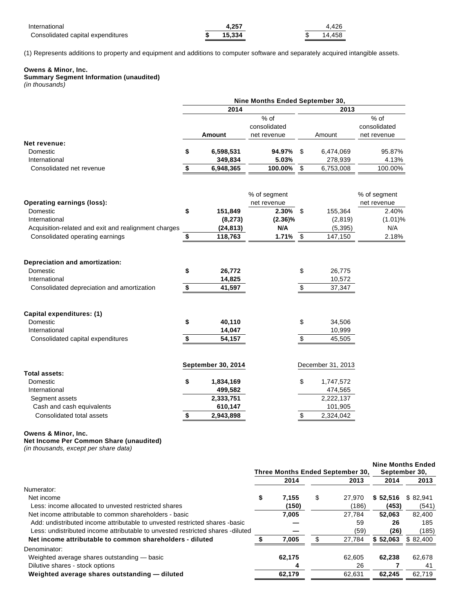| International                     | 4.257  |  | 4.426  |
|-----------------------------------|--------|--|--------|
| Consolidated capital expenditures | 15.334 |  | 14.458 |

(1) Represents additions to property and equipment and additions to computer software and separately acquired intangible assets.

#### **Owens & Minor, Inc.**

**Summary Segment Information (unaudited)**

(in thousands)

|                                                                                                           |          |                            | Nine Months Ended September 30, |                         |                            |              |
|-----------------------------------------------------------------------------------------------------------|----------|----------------------------|---------------------------------|-------------------------|----------------------------|--------------|
|                                                                                                           |          | 2014                       |                                 |                         | 2013                       |              |
|                                                                                                           |          |                            | % of                            |                         |                            | % of         |
|                                                                                                           |          |                            | consolidated                    |                         |                            | consolidated |
|                                                                                                           |          | Amount                     | net revenue                     |                         | Amount                     | net revenue  |
| Net revenue:                                                                                              |          |                            |                                 |                         |                            |              |
| Domestic                                                                                                  | \$       | 6,598,531                  | 94.97%                          | \$                      | 6,474,069                  | 95.87%       |
| International                                                                                             |          | 349,834                    | 5.03%                           |                         | 278,939                    | 4.13%        |
| Consolidated net revenue                                                                                  | \$       | 6,948,365                  | 100.00%                         | $\overline{\$}$         | 6,753,008                  | 100.00%      |
|                                                                                                           |          |                            | % of segment                    |                         |                            | % of segment |
| <b>Operating earnings (loss):</b>                                                                         |          |                            | net revenue                     |                         |                            | net revenue  |
| Domestic                                                                                                  | \$       | 151,849                    | 2.30%                           | \$                      | 155,364                    | 2.40%        |
| International                                                                                             |          | (8,273)                    | $(2.36)\%$                      |                         | (2,819)                    | (1.01)%      |
| Acquisition-related and exit and realignment charges                                                      |          | (24, 813)                  | N/A                             |                         | (5, 395)                   | N/A          |
| Consolidated operating earnings                                                                           | \$       | 118,763                    | 1.71%                           | $\sqrt[6]{\frac{1}{2}}$ | 147,150                    | 2.18%        |
| Depreciation and amortization:<br>Domestic<br>International<br>Consolidated depreciation and amortization | \$<br>\$ | 26,772<br>14,825<br>41,597 |                                 | \$<br>$\boldsymbol{\$}$ | 26,775<br>10,572<br>37,347 |              |
| Capital expenditures: (1)                                                                                 |          |                            |                                 |                         |                            |              |
| Domestic                                                                                                  | \$       | 40,110                     |                                 | \$                      | 34,506                     |              |
| International                                                                                             |          | 14,047                     |                                 |                         | 10,999                     |              |
| Consolidated capital expenditures                                                                         | \$       | 54,157                     |                                 | \$                      | 45,505                     |              |
|                                                                                                           |          | September 30, 2014         |                                 |                         | December 31, 2013          |              |
| <b>Total assets:</b>                                                                                      |          |                            |                                 |                         |                            |              |
| Domestic                                                                                                  | \$       | 1,834,169                  |                                 | \$                      | 1,747,572                  |              |
| International                                                                                             |          | 499,582                    |                                 |                         | 474,565                    |              |
| Segment assets                                                                                            |          | 2,333,751                  |                                 |                         | 2,222,137                  |              |
| Cash and cash equivalents                                                                                 |          | 610,147                    |                                 |                         | 101,905                    |              |
| Consolidated total assets                                                                                 | \$       | 2,943,898                  |                                 | \$                      | 2,324,042                  |              |

#### **Owens & Minor, Inc.**

**Net Income Per Common Share (unaudited)**

(in thousands, except per share data)

|                                                                                | Three Months Ended September 30, |        |   |        | September 30, | <b>Nine Months Ended</b> |  |
|--------------------------------------------------------------------------------|----------------------------------|--------|---|--------|---------------|--------------------------|--|
|                                                                                |                                  | 2014   |   | 2013   | 2014          | 2013                     |  |
| Numerator:                                                                     |                                  |        |   |        |               |                          |  |
| Net income                                                                     | \$                               | 7.155  | S | 27.970 | \$52,516      | \$82.941                 |  |
| Less: income allocated to unvested restricted shares                           |                                  | (150)  |   | (186)  | (453)         | (541)                    |  |
| Net income attributable to common shareholders - basic                         |                                  | 7.005  |   | 27.784 | 52.063        | 82.400                   |  |
| Add: undistributed income attributable to unvested restricted shares -basic    |                                  |        |   | 59     | 26            | 185                      |  |
| Less: undistributed income attributable to unvested restricted shares -diluted |                                  |        |   | (59)   | (26)          | (185)                    |  |
| Net income attributable to common shareholders - diluted                       |                                  | 7,005  |   | 27,784 | \$52,063      | \$82,400                 |  |
| Denominator:                                                                   |                                  |        |   |        |               |                          |  |
| Weighted average shares outstanding — basic                                    |                                  | 62,175 |   | 62.605 | 62.238        | 62.678                   |  |
| Dilutive shares - stock options                                                |                                  |        |   | 26     |               | 41                       |  |
| Weighted average shares outstanding - diluted                                  |                                  | 62,179 |   | 62,631 | 62,245        | 62,719                   |  |
|                                                                                |                                  |        |   |        |               |                          |  |